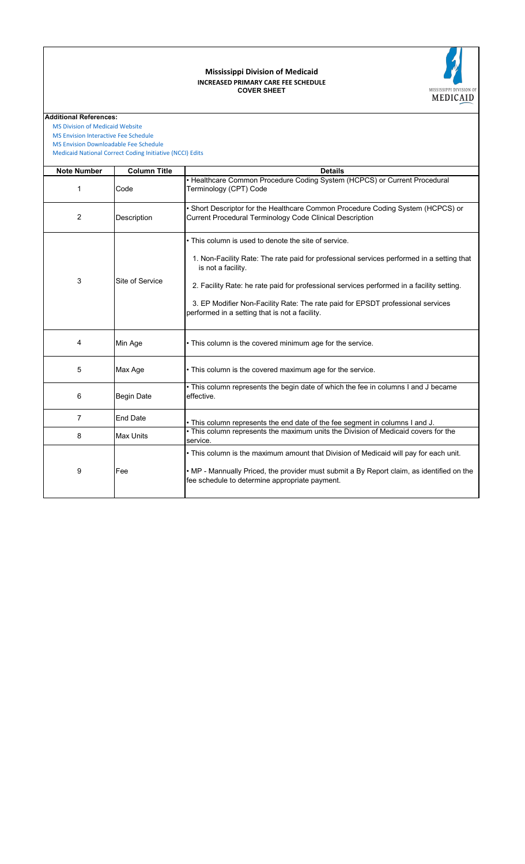## **COVER SHEET INCREASED PRIMARY CARE FEE SCHEDULE Mississippi Division of Medicaid**



**Additional References:**

 [MS Division of Medicai](https://medicaid.ms.gov/)d Website

 [MS Envision Interactive](https://www.ms-medicaid.com/msenvision/feeScheduleInquiry.do) Fee Schedule  [MS Envision Download](https://www.ms-medicaid.com/msenvision/AMA_ADA_licenseAgreement.do?strUrl=feeScheduleInquiry)able Fee Schedule

 [Medicaid National Corr](https://www.medicaid.gov/medicaid/program-integrity/national-correct-coding-initiative/medicaid-ncci-edit-files/index.html)ect Coding Initiative (NCCI) Edits

| <b>Note Number</b> | <b>Column Title</b> | <b>Details</b>                                                                                                                                                                                                                                                                                                                                                                                            |
|--------------------|---------------------|-----------------------------------------------------------------------------------------------------------------------------------------------------------------------------------------------------------------------------------------------------------------------------------------------------------------------------------------------------------------------------------------------------------|
| 1                  | Code                | • Healthcare Common Procedure Coding System (HCPCS) or Current Procedural<br>Terminology (CPT) Code                                                                                                                                                                                                                                                                                                       |
| 2                  | Description         | . Short Descriptor for the Healthcare Common Procedure Coding System (HCPCS) or<br>Current Procedural Terminology Code Clinical Description                                                                                                                                                                                                                                                               |
| 3                  | Site of Service     | • This column is used to denote the site of service.<br>1. Non-Facility Rate: The rate paid for professional services performed in a setting that<br>is not a facility.<br>2. Facility Rate: he rate paid for professional services performed in a facility setting.<br>3. EP Modifier Non-Facility Rate: The rate paid for EPSDT professional services<br>performed in a setting that is not a facility. |
| 4                  | Min Age             | • This column is the covered minimum age for the service.                                                                                                                                                                                                                                                                                                                                                 |
| 5                  | Max Age             | • This column is the covered maximum age for the service.                                                                                                                                                                                                                                                                                                                                                 |
| 6                  | <b>Begin Date</b>   | . This column represents the begin date of which the fee in columns I and J became<br>effective.                                                                                                                                                                                                                                                                                                          |
| 7                  | <b>End Date</b>     | . This column represents the end date of the fee segment in columns I and J.                                                                                                                                                                                                                                                                                                                              |
| 8                  | <b>Max Units</b>    | . This column represents the maximum units the Division of Medicaid covers for the<br>service.                                                                                                                                                                                                                                                                                                            |
| 9                  | Fee                 | . This column is the maximum amount that Division of Medicaid will pay for each unit.<br>. MP - Mannually Priced, the provider must submit a By Report claim, as identified on the<br>fee schedule to determine appropriate payment.                                                                                                                                                                      |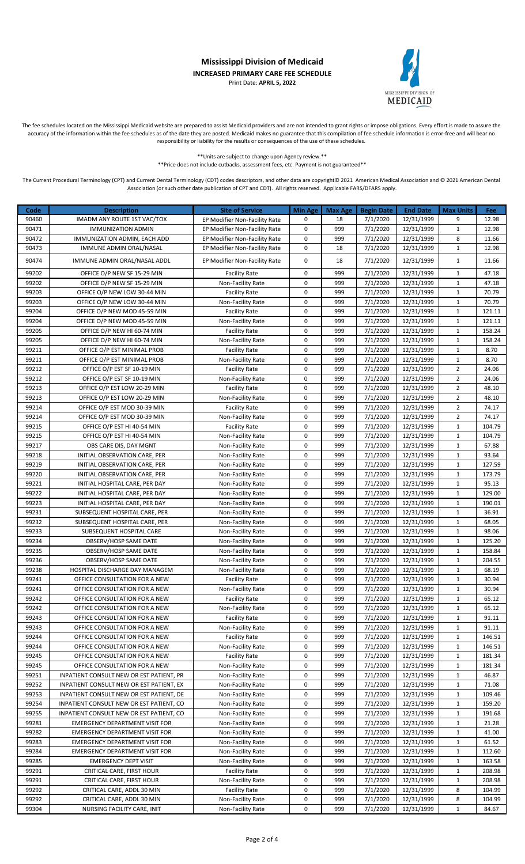## **Mississippi Division of Medicaid INCREASED PRIMARY CARE FEE SCHEDULE** Print Date: **APRIL 5, 2022**



The fee schedules located on the Mississippi Medicaid website are prepared to assist Medicaid providers and are not intended to grant rights or impose obligations. Every effort is made to assure the accuracy of the information within the fee schedules as of the date they are posted. Medicaid makes no guarantee that this compilation of fee schedule information is error-free and will bear no responsibility or liability for the results or consequences of the use of these schedules.

> \*\*Units are subject to change upon Agency review.\*\* \*\*Price does not include cutbacks, assessment fees, etc. Payment is not guaranteed\*\*

The Current Procedural Terminology (CPT) and Current Dental Terminology (CDT) codes descriptors, and other data are copyright© 2021 American Medical Association and © 2021 American Dental Association (or such other date publication of CPT and CDT). All rights reserved. Applicable FARS/DFARS apply.

| Code           | <b>Description</b>                                                                   | <b>Site of Service</b>                 | <b>Min Age</b>         | <b>Max Age</b> | <b>Begin Date</b>    | <b>End Date</b>          | <b>Max Units</b>             | Fee              |
|----------------|--------------------------------------------------------------------------------------|----------------------------------------|------------------------|----------------|----------------------|--------------------------|------------------------------|------------------|
| 90460          | IMADM ANY ROUTE 1ST VAC/TOX                                                          | EP Modifier Non-Facility Rate          | 0                      | 18             | 7/1/2020             | 12/31/1999               | 9                            | 12.98            |
| 90471          | <b>IMMUNIZATION ADMIN</b>                                                            | EP Modifier Non-Facility Rate          | 0                      | 999            | 7/1/2020             | 12/31/1999               | $\,1\,$                      | 12.98            |
| 90472          | IMMUNIZATION ADMIN, EACH ADD                                                         | EP Modifier Non-Facility Rate          | 0                      | 999            | 7/1/2020             | 12/31/1999               | 8                            | 11.66            |
| 90473          | IMMUNE ADMIN ORAL/NASAL                                                              | EP Modifier Non-Facility Rate          | 0                      | 18             | 7/1/2020             | 12/31/1999               | $\mathbf{1}$                 | 12.98            |
| 90474          | IMMUNE ADMIN ORAL/NASAL ADDL                                                         | EP Modifier Non-Facility Rate          | 0                      | 18             | 7/1/2020             | 12/31/1999               | $\mathbf{1}$                 | 11.66            |
| 99202          | OFFICE O/P NEW SF 15-29 MIN                                                          | <b>Facility Rate</b>                   | 0                      | 999            | 7/1/2020             | 12/31/1999               | $\mathbf{1}$                 | 47.18            |
| 99202          | OFFICE O/P NEW SF 15-29 MIN                                                          | Non-Facility Rate                      | 0                      | 999            | 7/1/2020             | 12/31/1999               | $\mathbf 1$                  | 47.18            |
| 99203          | OFFICE O/P NEW LOW 30-44 MIN                                                         | <b>Facility Rate</b>                   | 0                      | 999            | 7/1/2020             | 12/31/1999               | $\mathbf{1}$                 | 70.79            |
| 99203          | OFFICE O/P NEW LOW 30-44 MIN                                                         | Non-Facility Rate                      | 0                      | 999            | 7/1/2020             | 12/31/1999               | $\mathbf{1}$                 | 70.79            |
| 99204          | OFFICE O/P NEW MOD 45-59 MIN                                                         | <b>Facility Rate</b>                   | 0                      | 999            | 7/1/2020             | 12/31/1999               | $\mathbf{1}$                 | 121.11           |
| 99204          | OFFICE O/P NEW MOD 45-59 MIN                                                         | Non-Facility Rate                      | $\pmb{0}$              | 999            | 7/1/2020             | 12/31/1999               | $\mathbf{1}$                 | 121.11           |
| 99205          | OFFICE O/P NEW HI 60-74 MIN                                                          | <b>Facility Rate</b>                   | $\pmb{0}$              | 999            | 7/1/2020             | 12/31/1999               | $\,1\,$                      | 158.24           |
| 99205          | OFFICE O/P NEW HI 60-74 MIN                                                          | Non-Facility Rate                      | 0                      | 999            | 7/1/2020             | 12/31/1999               | $\mathbf{1}$                 | 158.24           |
| 99211          | OFFICE O/P EST MINIMAL PROB                                                          | <b>Facility Rate</b>                   | $\pmb{0}$              | 999            | 7/1/2020             | 12/31/1999               | $\,1\,$                      | 8.70             |
| 99211          | OFFICE O/P EST MINIMAL PROB                                                          | Non-Facility Rate                      | 0                      | 999            | 7/1/2020             | 12/31/1999               | $\mathbf{1}$                 | 8.70             |
| 99212          | OFFICE O/P EST SF 10-19 MIN                                                          | <b>Facility Rate</b>                   | $\pmb{0}$              | 999            | 7/1/2020             | 12/31/1999               | $\overline{2}$               | 24.06            |
| 99212          | OFFICE O/P EST SF 10-19 MIN                                                          | Non-Facility Rate                      | 0                      | 999            | 7/1/2020             | 12/31/1999               | $\overline{2}$               | 24.06            |
| 99213          | OFFICE O/P EST LOW 20-29 MIN                                                         | <b>Facility Rate</b>                   | $\pmb{0}$              | 999            | 7/1/2020             | 12/31/1999               | $\overline{2}$               | 48.10            |
| 99213          | OFFICE O/P EST LOW 20-29 MIN                                                         | Non-Facility Rate                      | $\pmb{0}$              | 999            | 7/1/2020             | 12/31/1999               | $\overline{2}$               | 48.10            |
| 99214          | OFFICE O/P EST MOD 30-39 MIN                                                         | <b>Facility Rate</b>                   | 0                      | 999            | 7/1/2020             | 12/31/1999               | $\overline{2}$               | 74.17            |
| 99214          | OFFICE O/P EST MOD 30-39 MIN                                                         | Non-Facility Rate                      | $\pmb{0}$              | 999            | 7/1/2020             | 12/31/1999               | $\overline{2}$               | 74.17            |
| 99215          | OFFICE O/P EST HI 40-54 MIN                                                          | <b>Facility Rate</b>                   | $\mathbf 0$            | 999            | 7/1/2020             | 12/31/1999               | $\mathbf{1}$                 | 104.79           |
| 99215          | OFFICE O/P EST HI 40-54 MIN                                                          | <b>Non-Facility Rate</b>               | 0                      | 999            | 7/1/2020             | 12/31/1999               | $\mathbf{1}$                 | 104.79           |
| 99217          | OBS CARE DIS, DAY MGNT                                                               | Non-Facility Rate                      | 0                      | 999            | 7/1/2020             | 12/31/1999               | $\mathbf{1}$                 | 67.88            |
| 99218          | INITIAL OBSERVATION CARE, PER                                                        | Non-Facility Rate                      | 0                      | 999            | 7/1/2020             | 12/31/1999               | $\mathbf{1}$                 | 93.64            |
| 99219          | INITIAL OBSERVATION CARE, PER                                                        | Non-Facility Rate                      | 0                      | 999            | 7/1/2020             | 12/31/1999               | $\mathbf{1}$                 | 127.59           |
| 99220          | INITIAL OBSERVATION CARE, PER                                                        | Non-Facility Rate                      | 0                      | 999            | 7/1/2020             | 12/31/1999               | $\mathbf{1}$                 | 173.79           |
| 99221          | INITIAL HOSPITAL CARE, PER DAY                                                       | Non-Facility Rate                      | 0                      | 999            | 7/1/2020             | 12/31/1999               | $\mathbf 1$                  | 95.13            |
| 99222          | INITIAL HOSPITAL CARE, PER DAY                                                       | Non-Facility Rate                      | 0                      | 999            | 7/1/2020             | 12/31/1999               | $\mathbf{1}$                 | 129.00           |
| 99223          | INITIAL HOSPITAL CARE, PER DAY                                                       | Non-Facility Rate                      | $\pmb{0}$              | 999            | 7/1/2020             | 12/31/1999               | $\,1\,$                      | 190.01           |
| 99231          | SUBSEQUENT HOSPITAL CARE, PER                                                        | Non-Facility Rate                      | 0                      | 999            | 7/1/2020             | 12/31/1999               | $\mathbf{1}$                 | 36.91            |
| 99232          | SUBSEQUENT HOSPITAL CARE, PER                                                        | Non-Facility Rate                      | $\pmb{0}$              | 999            | 7/1/2020             | 12/31/1999               | $\mathbf{1}$                 | 68.05            |
| 99233          | SUBSEQUENT HOSPITAL CARE                                                             | Non-Facility Rate                      | 0                      | 999            | 7/1/2020             | 12/31/1999               | $\mathbf{1}$                 | 98.06            |
| 99234          | OBSERV/HOSP SAME DATE                                                                | Non-Facility Rate                      | 0                      | 999            | 7/1/2020             | 12/31/1999               | $\mathbf{1}$                 | 125.20           |
| 99235          | OBSERV/HOSP SAME DATE                                                                | Non-Facility Rate                      | 0                      | 999            | 7/1/2020             | 12/31/1999               | $\mathbf{1}$                 | 158.84           |
| 99236          | OBSERV/HOSP SAME DATE                                                                | Non-Facility Rate                      | 0                      | 999            | 7/1/2020             | 12/31/1999               | $\mathbf{1}$                 | 204.55           |
| 99238          | HOSPITAL DISCHARGE DAY MANAGEM                                                       | Non-Facility Rate                      | $\pmb{0}$              | 999            | 7/1/2020             | 12/31/1999               | $\,1\,$                      | 68.19            |
| 99241          | OFFICE CONSULTATION FOR A NEW                                                        | <b>Facility Rate</b>                   | 0                      | 999            | 7/1/2020             | 12/31/1999               | $\mathbf{1}$                 | 30.94            |
| 99241          | OFFICE CONSULTATION FOR A NEW                                                        | Non-Facility Rate                      | 0                      | 999            | 7/1/2020             | 12/31/1999               | 1                            | 30.94            |
| 99242          | OFFICE CONSULTATION FOR A NEW                                                        | <b>Facility Rate</b>                   | 0                      | 999            | 7/1/2020             | 12/31/1999               | $\mathbf{1}$                 | 65.12            |
| 99242          | OFFICE CONSULTATION FOR A NEW                                                        | Non-Facility Rate                      | 0                      | 999            | 7/1/2020             | 12/31/1999               | 1                            | 65.12            |
| 99243          | OFFICE CONSULTATION FOR A NEW                                                        | <b>Facility Rate</b>                   | 0                      | 999            | 7/1/2020             | 12/31/1999               | 1                            | 91.11            |
| 99243          | OFFICE CONSULTATION FOR A NEW                                                        | Non-Facility Rate                      | 0                      | 999            | 7/1/2020             | 12/31/1999               | 1                            | 91.11            |
| 99244          | OFFICE CONSULTATION FOR A NEW                                                        | <b>Facility Rate</b>                   | 0                      | 999            | 7/1/2020             | 12/31/1999               | $\mathbf{1}$                 | 146.51           |
| 99244          | OFFICE CONSULTATION FOR A NEW                                                        | Non-Facility Rate                      | 0                      | 999            | 7/1/2020             | 12/31/1999               | $\mathbf{1}$                 | 146.51           |
| 99245          | OFFICE CONSULTATION FOR A NEW                                                        | <b>Facility Rate</b>                   | 0                      | 999            | 7/1/2020<br>7/1/2020 | 12/31/1999               | $\mathbf{1}$                 | 181.34           |
| 99245          | OFFICE CONSULTATION FOR A NEW                                                        | Non-Facility Rate                      | $\pmb{0}$<br>$\pmb{0}$ | 999<br>999     | 7/1/2020             | 12/31/1999               | $\mathbf{1}$                 | 181.34           |
| 99251<br>99252 | INPATIENT CONSULT NEW OR EST PATIENT, PR                                             | Non-Facility Rate                      | 0                      | 999            | 7/1/2020             | 12/31/1999<br>12/31/1999 | 1<br>1                       | 46.87<br>71.08   |
| 99253          | INPATIENT CONSULT NEW OR EST PATIENT, EX<br>INPATIENT CONSULT NEW OR EST PATIENT, DE | Non-Facility Rate                      | 0                      | 999            |                      | 12/31/1999               |                              | 109.46           |
|                |                                                                                      | Non-Facility Rate                      | 0                      |                | 7/1/2020             |                          | 1                            |                  |
| 99254<br>99255 | INPATIENT CONSULT NEW OR EST PATIENT, CO<br>INPATIENT CONSULT NEW OR EST PATIENT, CO | Non-Facility Rate<br>Non-Facility Rate | 0                      | 999<br>999     | 7/1/2020<br>7/1/2020 | 12/31/1999<br>12/31/1999 | $\mathbf{1}$<br>$\mathbf{1}$ | 159.20<br>191.68 |
| 99281          | <b>EMERGENCY DEPARTMENT VISIT FOR</b>                                                | Non-Facility Rate                      | 0                      | 999            | 7/1/2020             | 12/31/1999               | $\mathbf{1}$                 | 21.28            |
| 99282          | <b>EMERGENCY DEPARTMENT VISIT FOR</b>                                                | Non-Facility Rate                      | $\pmb{0}$              | 999            |                      | 12/31/1999               |                              | 41.00            |
| 99283          | <b>EMERGENCY DEPARTMENT VISIT FOR</b>                                                | Non-Facility Rate                      | 0                      | 999            | 7/1/2020<br>7/1/2020 | 12/31/1999               | $\mathbf{1}$<br>1            | 61.52            |
|                |                                                                                      |                                        |                        |                |                      |                          |                              |                  |
| 99284<br>99285 | <b>EMERGENCY DEPARTMENT VISIT FOR</b><br><b>EMERGENCY DEPT VISIT</b>                 | Non-Facility Rate<br>Non-Facility Rate | 0<br>0                 | 999<br>999     | 7/1/2020<br>7/1/2020 | 12/31/1999<br>12/31/1999 | 1<br>1                       | 112.60<br>163.58 |
| 99291          | CRITICAL CARE, FIRST HOUR                                                            | <b>Facility Rate</b>                   | 0                      | 999            | 7/1/2020             | 12/31/1999               | 1                            | 208.98           |
| 99291          | CRITICAL CARE, FIRST HOUR                                                            | Non-Facility Rate                      | 0                      | 999            | 7/1/2020             | 12/31/1999               | $\mathbf{1}$                 | 208.98           |
| 99292          | CRITICAL CARE, ADDL 30 MIN                                                           | <b>Facility Rate</b>                   | 0                      | 999            | 7/1/2020             | 12/31/1999               | 8                            | 104.99           |
| 99292          | CRITICAL CARE, ADDL 30 MIN                                                           | Non-Facility Rate                      | 0                      | 999            | 7/1/2020             | 12/31/1999               | 8                            | 104.99           |
| 99304          | NURSING FACILITY CARE, INIT                                                          | Non-Facility Rate                      | 0                      | 999            | 7/1/2020             | 12/31/1999               | $\mathbf{1}$                 | 84.67            |
|                |                                                                                      |                                        |                        |                |                      |                          |                              |                  |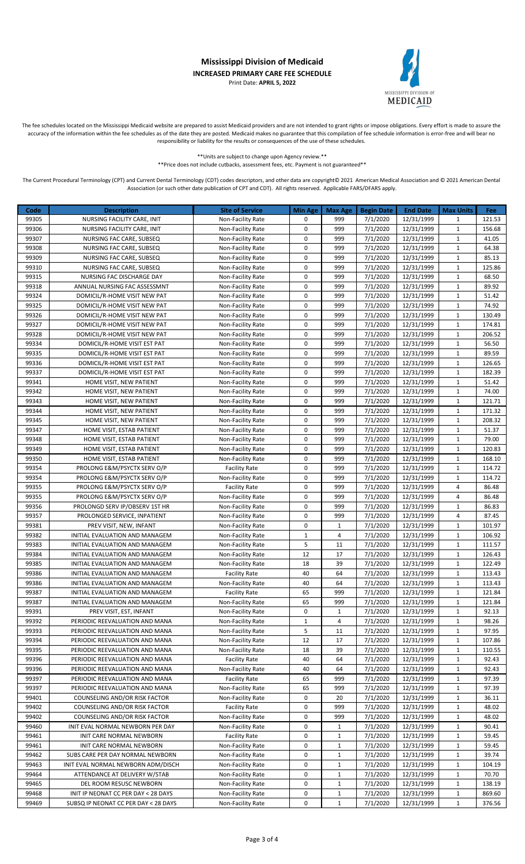## **Mississippi Division of Medicaid INCREASED PRIMARY CARE FEE SCHEDULE** Print Date: **APRIL 5, 2022**



The fee schedules located on the Mississippi Medicaid website are prepared to assist Medicaid providers and are not intended to grant rights or impose obligations. Every effort is made to assure the accuracy of the information within the fee schedules as of the date they are posted. Medicaid makes no guarantee that this compilation of fee schedule information is error-free and will bear no responsibility or liability for the results or consequences of the use of these schedules.

> \*\*Units are subject to change upon Agency review.\*\* \*\*Price does not include cutbacks, assessment fees, etc. Payment is not guaranteed\*\*

The Current Procedural Terminology (CPT) and Current Dental Terminology (CDT) codes descriptors, and other data are copyright© 2021 American Medical Association and © 2021 American Dental Association (or such other date publication of CPT and CDT). All rights reserved. Applicable FARS/DFARS apply.

| Code  | <b>Description</b>                   | <b>Site of Service</b>   | <b>Min Age</b> | <b>Max Age</b> | <b>Begin Date</b> | <b>End Date</b> | <b>Max Units</b> | Fee    |
|-------|--------------------------------------|--------------------------|----------------|----------------|-------------------|-----------------|------------------|--------|
| 99305 | NURSING FACILITY CARE, INIT          | Non-Facility Rate        | 0              | 999            | 7/1/2020          | 12/31/1999      | 1                | 121.53 |
| 99306 | NURSING FACILITY CARE, INIT          | Non-Facility Rate        | 0              | 999            | 7/1/2020          | 12/31/1999      | $\mathbf{1}$     | 156.68 |
| 99307 | NURSING FAC CARE, SUBSEQ             | Non-Facility Rate        | 0              | 999            | 7/1/2020          | 12/31/1999      | $\mathbf{1}$     | 41.05  |
| 99308 | NURSING FAC CARE, SUBSEQ             | Non-Facility Rate        | 0              | 999            | 7/1/2020          | 12/31/1999      | $\mathbf{1}$     | 64.38  |
| 99309 | NURSING FAC CARE, SUBSEQ             | Non-Facility Rate        | 0              | 999            | 7/1/2020          | 12/31/1999      | $\mathbf{1}$     | 85.13  |
| 99310 | NURSING FAC CARE, SUBSEQ             |                          | 0              | 999            | 7/1/2020          | 12/31/1999      | $\mathbf{1}$     | 125.86 |
| 99315 |                                      | Non-Facility Rate        | 0              | 999            |                   |                 | $\mathbf{1}$     | 68.50  |
|       | NURSING FAC DISCHARGE DAY            | Non-Facility Rate        | 0              | 999            | 7/1/2020          | 12/31/1999      | $1\,$            |        |
| 99318 | ANNUAL NURSING FAC ASSESSMNT         | Non-Facility Rate        |                |                | 7/1/2020          | 12/31/1999      |                  | 89.92  |
| 99324 | DOMICIL/R-HOME VISIT NEW PAT         | Non-Facility Rate        | 0              | 999            | 7/1/2020          | 12/31/1999      | $\mathbf{1}$     | 51.42  |
| 99325 | DOMICIL/R-HOME VISIT NEW PAT         | Non-Facility Rate        | 0<br>0         | 999            | 7/1/2020          | 12/31/1999      | $\mathbf{1}$     | 74.92  |
| 99326 | DOMICIL/R-HOME VISIT NEW PAT         | Non-Facility Rate        |                | 999            | 7/1/2020          | 12/31/1999      | 1                | 130.49 |
| 99327 | DOMICIL/R-HOME VISIT NEW PAT         | <b>Non-Facility Rate</b> | 0              | 999            | 7/1/2020          | 12/31/1999      | $\mathbf{1}$     | 174.81 |
| 99328 | DOMICIL/R-HOME VISIT NEW PAT         | Non-Facility Rate        | 0              | 999            | 7/1/2020          | 12/31/1999      | $\mathbf{1}$     | 206.52 |
| 99334 | DOMICIL/R-HOME VISIT EST PAT         | Non-Facility Rate        | 0              | 999            | 7/1/2020          | 12/31/1999      | $\mathbf{1}$     | 56.50  |
| 99335 | DOMICIL/R-HOME VISIT EST PAT         | Non-Facility Rate        | 0              | 999            | 7/1/2020          | 12/31/1999      | $\mathbf{1}$     | 89.59  |
| 99336 | DOMICIL/R-HOME VISIT EST PAT         | Non-Facility Rate        | 0              | 999            | 7/1/2020          | 12/31/1999      | $\mathbf{1}$     | 126.65 |
| 99337 | DOMICIL/R-HOME VISIT EST PAT         | Non-Facility Rate        | 0              | 999            | 7/1/2020          | 12/31/1999      | $\mathbf{1}$     | 182.39 |
| 99341 | HOME VISIT, NEW PATIENT              | Non-Facility Rate        | 0              | 999            | 7/1/2020          | 12/31/1999      | $\mathbf{1}$     | 51.42  |
| 99342 | HOME VISIT, NEW PATIENT              | Non-Facility Rate        | 0              | 999            | 7/1/2020          | 12/31/1999      | $\mathbf{1}$     | 74.00  |
| 99343 | HOME VISIT, NEW PATIENT              | Non-Facility Rate        | 0              | 999            | 7/1/2020          | 12/31/1999      | $\mathbf{1}$     | 121.71 |
| 99344 | HOME VISIT, NEW PATIENT              | Non-Facility Rate        | 0              | 999            | 7/1/2020          | 12/31/1999      | $\mathbf{1}$     | 171.32 |
| 99345 | HOME VISIT, NEW PATIENT              | Non-Facility Rate        | 0              | 999            | 7/1/2020          | 12/31/1999      | $\mathbf{1}$     | 208.32 |
| 99347 | HOME VISIT, ESTAB PATIENT            | Non-Facility Rate        | 0              | 999            | 7/1/2020          | 12/31/1999      | $\mathbf{1}$     | 51.37  |
| 99348 | HOME VISIT, ESTAB PATIENT            | Non-Facility Rate        | 0              | 999            | 7/1/2020          | 12/31/1999      | $1\,$            | 79.00  |
| 99349 | HOME VISIT, ESTAB PATIENT            | Non-Facility Rate        | 0              | 999            | 7/1/2020          | 12/31/1999      | $\mathbf{1}$     | 120.83 |
| 99350 | HOME VISIT, ESTAB PATIENT            | Non-Facility Rate        | 0              | 999            | 7/1/2020          | 12/31/1999      | $\mathbf{1}$     | 168.10 |
| 99354 | PROLONG E&M/PSYCTX SERV O/P          | <b>Facility Rate</b>     | 0              | 999            | 7/1/2020          | 12/31/1999      | $\mathbf{1}$     | 114.72 |
| 99354 | PROLONG E&M/PSYCTX SERV O/P          | Non-Facility Rate        | 0              | 999            | 7/1/2020          | 12/31/1999      | $\mathbf{1}$     | 114.72 |
| 99355 | PROLONG E&M/PSYCTX SERV O/P          | <b>Facility Rate</b>     | 0              | 999            | 7/1/2020          | 12/31/1999      | 4                | 86.48  |
| 99355 | PROLONG E&M/PSYCTX SERV O/P          | Non-Facility Rate        | 0              | 999            | 7/1/2020          | 12/31/1999      | 4                | 86.48  |
| 99356 | PROLONGD SERV IP/OBSERV 1ST HR       | Non-Facility Rate        | 0              | 999            | 7/1/2020          | 12/31/1999      | $\mathbf{1}$     | 86.83  |
| 99357 | PROLONGED SERVICE, INPATIENT         | Non-Facility Rate        | 0              | 999            | 7/1/2020          | 12/31/1999      | 4                | 87.45  |
| 99381 | PREV VISIT, NEW, INFANT              | Non-Facility Rate        | $\pmb{0}$      | 1              | 7/1/2020          | 12/31/1999      | $\mathbf{1}$     | 101.97 |
| 99382 | INITIAL EVALUATION AND MANAGEM       | Non-Facility Rate        | $\mathbf{1}$   | 4              | 7/1/2020          | 12/31/1999      | $\mathbf{1}$     | 106.92 |
| 99383 | INITIAL EVALUATION AND MANAGEM       | Non-Facility Rate        | 5              | 11             | 7/1/2020          | 12/31/1999      | $1\,$            | 111.57 |
| 99384 | INITIAL EVALUATION AND MANAGEM       | Non-Facility Rate        | 12             | 17             | 7/1/2020          | 12/31/1999      | $\mathbf{1}$     | 126.43 |
| 99385 | INITIAL EVALUATION AND MANAGEM       | Non-Facility Rate        | 18             | 39             | 7/1/2020          | 12/31/1999      | $\mathbf{1}$     | 122.49 |
| 99386 | INITIAL EVALUATION AND MANAGEM       | <b>Facility Rate</b>     | 40             | 64             | 7/1/2020          | 12/31/1999      | $\mathbf{1}$     | 113.43 |
| 99386 | INITIAL EVALUATION AND MANAGEM       | Non-Facility Rate        | 40             | 64             | 7/1/2020          | 12/31/1999      | $\mathbf{1}$     | 113.43 |
| 99387 | INITIAL EVALUATION AND MANAGEM       | <b>Facility Rate</b>     | 65             | 999            | 7/1/2020          | 12/31/1999      | 1                | 121.84 |
| 99387 | INITIAL EVALUATION AND MANAGEM       | Non-Facility Rate        | 65             | 999            | 7/1/2020          | 12/31/1999      | 1                | 121.84 |
| 99391 | PREV VISIT, EST, INFANT              | Non-Facility Rate        | 0              | $\mathbf{1}$   | 7/1/2020          | 12/31/1999      | $\mathbf{1}$     | 92.13  |
| 99392 | PERIODIC REEVALUATION AND MANA       | Non-Facility Rate        | $\mathbf{1}$   | 4              | 7/1/2020          | 12/31/1999      | $\mathbf{1}$     | 98.26  |
| 99393 | PERIODIC REEVALUATION AND MANA       | Non-Facility Rate        | 5              | 11             | 7/1/2020          | 12/31/1999      | $\mathbf{1}$     | 97.95  |
| 99394 | PERIODIC REEVALUATION AND MANA       | Non-Facility Rate        | 12             | 17             | 7/1/2020          | 12/31/1999      | $\mathbf{1}$     | 107.86 |
| 99395 | PERIODIC REEVALUATION AND MANA       | Non-Facility Rate        | 18             | 39             | 7/1/2020          | 12/31/1999      | $\mathbf{1}$     | 110.55 |
| 99396 | PERIODIC REEVALUATION AND MANA       | <b>Facility Rate</b>     | 40             | 64             | 7/1/2020          | 12/31/1999      | $\mathbf{1}$     | 92.43  |
| 99396 | PERIODIC REEVALUATION AND MANA       | Non-Facility Rate        | 40             | 64             | 7/1/2020          | 12/31/1999      | $\mathbf{1}$     | 92.43  |
| 99397 | PERIODIC REEVALUATION AND MANA       | <b>Facility Rate</b>     | 65             | 999            | 7/1/2020          | 12/31/1999      | $\mathbf{1}$     | 97.39  |
| 99397 | PERIODIC REEVALUATION AND MANA       | Non-Facility Rate        | 65             | 999            | 7/1/2020          | 12/31/1999      | $\mathbf{1}$     | 97.39  |
| 99401 | COUNSELING AND/OR RISK FACTOR        | Non-Facility Rate        | 0              | 20             | 7/1/2020          | 12/31/1999      | $\mathbf{1}$     | 36.11  |
| 99402 | COUNSELING AND/OR RISK FACTOR        | <b>Facility Rate</b>     | 0              | 999            | 7/1/2020          | 12/31/1999      | $\mathbf{1}$     | 48.02  |
| 99402 | COUNSELING AND/OR RISK FACTOR        | Non-Facility Rate        | 0              | 999            | 7/1/2020          | 12/31/1999      | $\mathbf{1}$     | 48.02  |
| 99460 | INIT EVAL NORMAL NEWBORN PER DAY     | Non-Facility Rate        | 0              | $\mathbf{1}$   | 7/1/2020          | 12/31/1999      | $\mathbf{1}$     | 90.41  |
| 99461 | INIT CARE NORMAL NEWBORN             | <b>Facility Rate</b>     | 0              | $\mathbf{1}$   | 7/1/2020          | 12/31/1999      | $\mathbf{1}$     | 59.45  |
| 99461 | INIT CARE NORMAL NEWBORN             | Non-Facility Rate        | 0              | 1              | 7/1/2020          | 12/31/1999      | 1                | 59.45  |
| 99462 | SUBS CARE PER DAY NORMAL NEWBORN     | Non-Facility Rate        | 0              | $\mathbf{1}$   | 7/1/2020          | 12/31/1999      | $\mathbf{1}$     | 39.74  |
| 99463 | INIT EVAL NORMAL NEWBORN ADM/DISCH   | Non-Facility Rate        | 0              | $\mathbf{1}$   | 7/1/2020          | 12/31/1999      | $\mathbf{1}$     | 104.19 |
| 99464 | ATTENDANCE AT DELIVERY W/STAB        | Non-Facility Rate        | 0              | $\mathbf{1}$   | 7/1/2020          | 12/31/1999      | $\mathbf{1}$     | 70.70  |
| 99465 | DEL ROOM RESUSC NEWBORN              | Non-Facility Rate        | 0              | $\mathbf{1}$   | 7/1/2020          | 12/31/1999      | $\mathbf{1}$     | 138.19 |
| 99468 | INIT IP NEONAT CC PER DAY < 28 DAYS  | Non-Facility Rate        | 0              | $\mathbf{1}$   | 7/1/2020          | 12/31/1999      | $\mathbf{1}$     | 869.60 |
| 99469 | SUBSQ IP NEONAT CC PER DAY < 28 DAYS | Non-Facility Rate        | 0              | 1              | 7/1/2020          | 12/31/1999      | $\mathbf{1}$     | 376.56 |
|       |                                      |                          |                |                |                   |                 |                  |        |